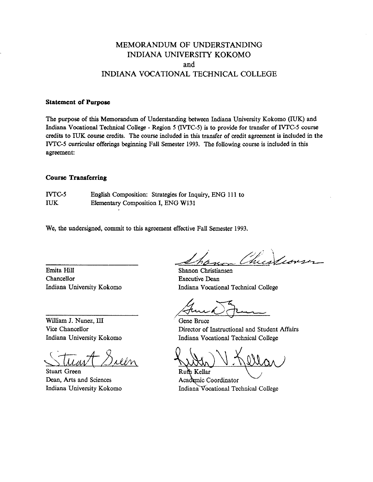# MEMORANDUM OF UNDERSTANDING INDIANA UNIVERSITY KOKOMO and INDIANA VOCATIONAL TECHNICAL COLLEGE

# **Statement of Porposc**

The purpose of this Memorandum of Understanding between Indiana University Kokomo (IUK) and Indiana Vocational Technical College - Region 5 (IVTC-5) is to provide for transfer of IVTC-5 course credits to IUK course credits. The course included in this transfer of credit agreement is included in the WTG5 curricular offerings **beginning** Fall Semester 1993. The following wurse is included in this agreement:

### **Coorsc Transferring**

NTG5 English Composition: Strategies for Inquiry, ENG 11 1 to IUK Elementary Composition I, ENG W131

We, **the** undersigned, commit to this agreement effective Fall Semester 1993.

Emita Hill Chancellor Indiana University Kokomo

William J. Nunez, III Vice Chancellor Indiana University Kokomo

╰  $\geq$  $4.8$ uen

Stuart Green Dean, **Arts** and Sciences Indiana University Kokomo

t de San

Shanon Christiansen Executive Dean Indiana Vocational Technical College

**v** 

Gene Bruce Director of Instructional and Student **Affairs**  Indiana Vocational Technical College

Ruft Kellar Academic Coordinator Indiana Vocational Technical College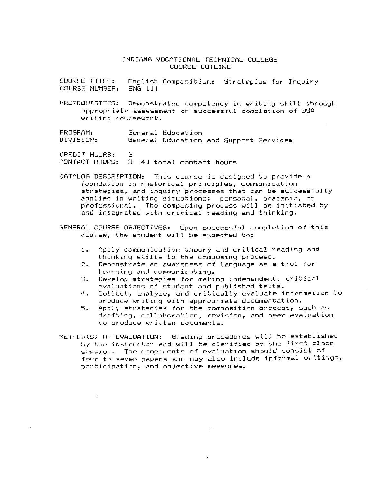# INDIANA VOCATIONAL TECHNICAL COLLEGE COURSE OUTLINE

COURSE TITLE: English Composition: Strategies for Inquiry<br>COURSE NUMBER: ENG 111 COURSE NUMBER:

PREREQUISITES: Demonstrated competency in writing skill through appropriate assessment or successful camp1 et inn of HSA writing coursewark.

PROGRAM: General Education DIVISION: General Education and Support Services

CREDIT HOURS: 3<br>CONTACT HOURS: 3 CONTACT HOURS: **3** 48 total contact huurs

CATALOG DESCRIPTION: This course is designed to provide a foundation in rhetorical principles, communication strategies, and inquiry processes that can be successfully applied in writing situations: personal, academic, or professiqnal. The composing process will be initiated by and integrated with critical reading and thinking.

GENERAL COURSE OBJECTIVES: Upon successful completion of this course, the student will be expected to:

- **1.** Apply communication theory and critical reading and thinking skills to the composing process.
- 2. Demnnstrate an awareness of language as a tool for learning and communicating.
- $\mathbb{C}$ . **a.** Develop strategies fcer making independent, critical evaluations of student and published texts.
- 4. Collect, analyze, and critically evaluate information to produce writing with appropriate documentat ion.
- **5.** Apply strategies for the camposition process, such as drafting, collaboration, revision, and peer evaluation to produce written documents.

METHOD(S) OF EVALUATION: Grading procedures will be established by the instructor and will be clarified at the first class session. The components of evaluation should consist of four to seven papers and may also include informal writings, participation, and objective measures.